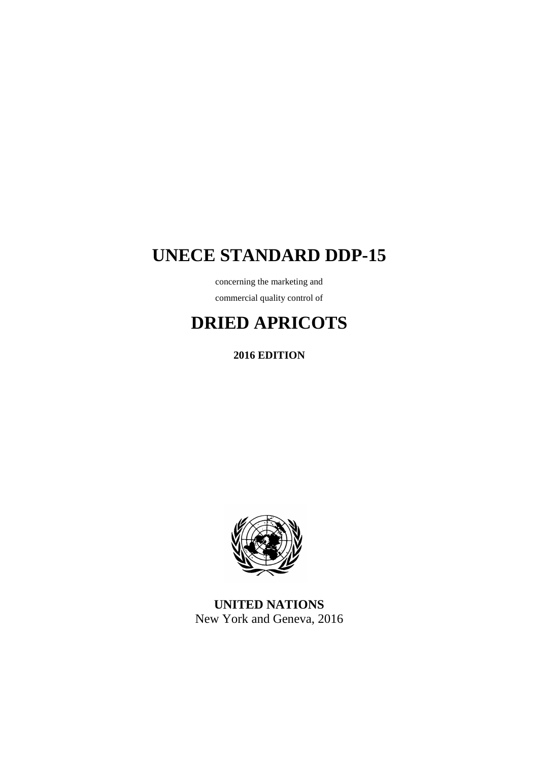# **UNECE STANDARD DDP-15**

concerning the marketing and commercial quality control of

# **DRIED APRICOTS**

**2016 EDITION** 



**UNITED NATIONS**  New York and Geneva, 2016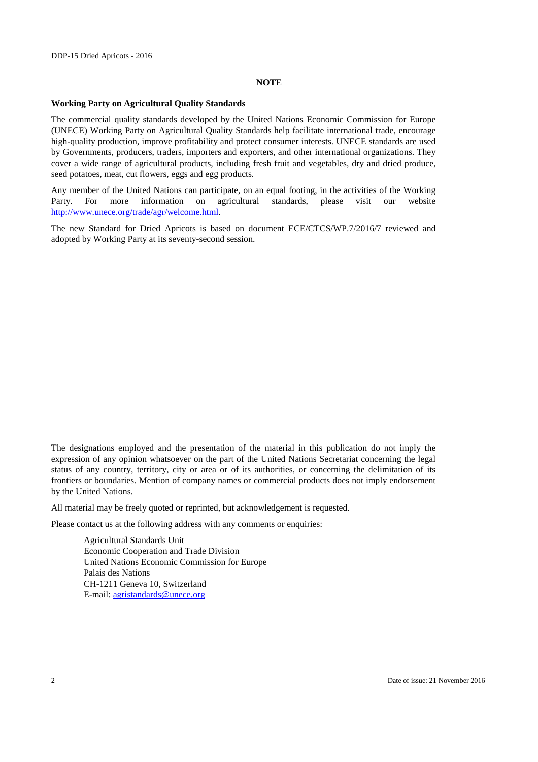#### **NOTE**

#### **Working Party on Agricultural Quality Standards**

The commercial quality standards developed by the United Nations Economic Commission for Europe (UNECE) Working Party on Agricultural Quality Standards help facilitate international trade, encourage high-quality production, improve profitability and protect consumer interests. UNECE standards are used by Governments, producers, traders, importers and exporters, and other international organizations. They cover a wide range of agricultural products, including fresh fruit and vegetables, dry and dried produce, seed potatoes, meat, cut flowers, eggs and egg products.

Any member of the United Nations can participate, on an equal footing, in the activities of the Working Party. For more information on agricultural standards, please visit our website http://www.unece.org/trade/agr/welcome.html.

The new Standard for Dried Apricots is based on document ECE/CTCS/WP.7/2016/7 reviewed and adopted by Working Party at its seventy-second session.

The designations employed and the presentation of the material in this publication do not imply the expression of any opinion whatsoever on the part of the United Nations Secretariat concerning the legal status of any country, territory, city or area or of its authorities, or concerning the delimitation of its frontiers or boundaries. Mention of company names or commercial products does not imply endorsement by the United Nations.

All material may be freely quoted or reprinted, but acknowledgement is requested.

Please contact us at the following address with any comments or enquiries:

 Agricultural Standards Unit Economic Cooperation and Trade Division United Nations Economic Commission for Europe Palais des Nations CH-1211 Geneva 10, Switzerland E-mail: agristandards@unece.org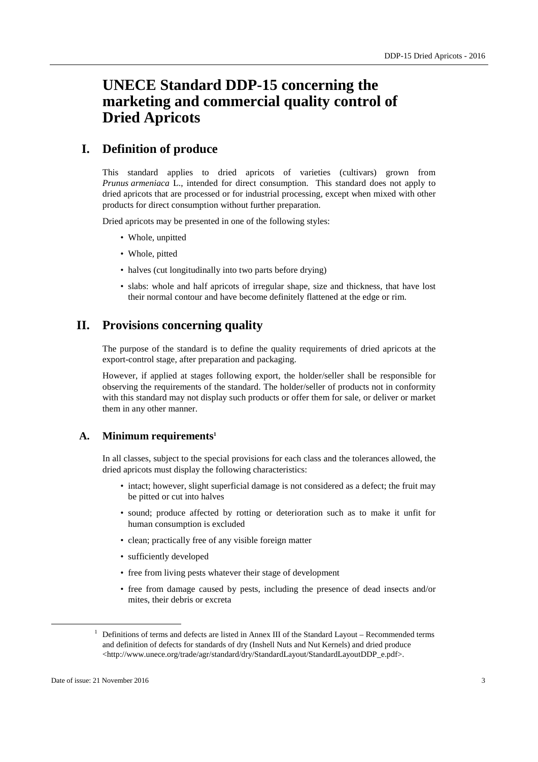# **UNECE Standard DDP-15 concerning the marketing and commercial quality control of Dried Apricots**

# **I. Definition of produce**

This standard applies to dried apricots of varieties (cultivars) grown from *Prunus armeniaca* L., intended for direct consumption. This standard does not apply to dried apricots that are processed or for industrial processing, except when mixed with other products for direct consumption without further preparation.

Dried apricots may be presented in one of the following styles:

- Whole, unpitted
- Whole, pitted
- halves (cut longitudinally into two parts before drying)
- slabs: whole and half apricots of irregular shape, size and thickness, that have lost their normal contour and have become definitely flattened at the edge or rim.

# **II. Provisions concerning quality**

The purpose of the standard is to define the quality requirements of dried apricots at the export-control stage, after preparation and packaging.

However, if applied at stages following export, the holder/seller shall be responsible for observing the requirements of the standard. The holder/seller of products not in conformity with this standard may not display such products or offer them for sale, or deliver or market them in any other manner.

### **A. Minimum requirements<sup>1</sup>**

In all classes, subject to the special provisions for each class and the tolerances allowed, the dried apricots must display the following characteristics:

- intact; however, slight superficial damage is not considered as a defect; the fruit may be pitted or cut into halves
- sound; produce affected by rotting or deterioration such as to make it unfit for human consumption is excluded
- clean; practically free of any visible foreign matter
- sufficiently developed
- free from living pests whatever their stage of development
- free from damage caused by pests, including the presence of dead insects and/or mites, their debris or excreta

 $\overline{a}$ 

<sup>&</sup>lt;sup>1</sup> Definitions of terms and defects are listed in Annex III of the Standard Layout – Recommended terms and definition of defects for standards of dry (Inshell Nuts and Nut Kernels) and dried produce <http://www.unece.org/trade/agr/standard/dry/StandardLayout/StandardLayoutDDP\_e.pdf>.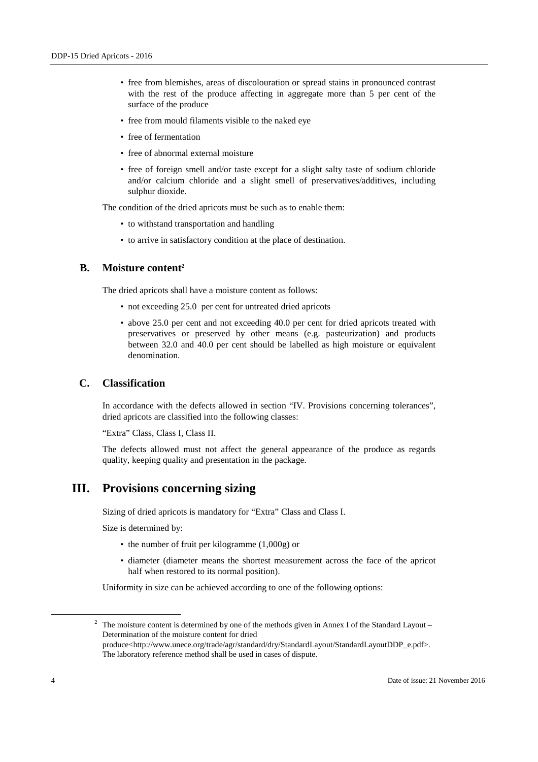- free from blemishes, areas of discolouration or spread stains in pronounced contrast with the rest of the produce affecting in aggregate more than 5 per cent of the surface of the produce
- free from mould filaments visible to the naked eye
- free of fermentation
- free of abnormal external moisture
- free of foreign smell and/or taste except for a slight salty taste of sodium chloride and/or calcium chloride and a slight smell of preservatives/additives, including sulphur dioxide.

The condition of the dried apricots must be such as to enable them:

- to withstand transportation and handling
- to arrive in satisfactory condition at the place of destination.

### **B. Moisture content<sup>2</sup>**

The dried apricots shall have a moisture content as follows:

- not exceeding 25.0 per cent for untreated dried apricots
- above 25.0 per cent and not exceeding 40.0 per cent for dried apricots treated with preservatives or preserved by other means (e.g. pasteurization) and products between 32.0 and 40.0 per cent should be labelled as high moisture or equivalent denomination.

### **C. Classification**

In accordance with the defects allowed in section "IV. Provisions concerning tolerances", dried apricots are classified into the following classes:

"Extra" Class, Class I, Class II.

The defects allowed must not affect the general appearance of the produce as regards quality, keeping quality and presentation in the package.

# **III. Provisions concerning sizing**

Sizing of dried apricots is mandatory for "Extra" Class and Class I.

Size is determined by:

- the number of fruit per kilogramme (1,000g) or
- diameter (diameter means the shortest measurement across the face of the apricot half when restored to its normal position).

Uniformity in size can be achieved according to one of the following options:

 $\overline{a}$ 

<sup>&</sup>lt;sup>2</sup> The moisture content is determined by one of the methods given in Annex I of the Standard Layout – Determination of the moisture content for dried produce<http://www.unece.org/trade/agr/standard/dry/StandardLayout/StandardLayoutDDP\_e.pdf>.

The laboratory reference method shall be used in cases of dispute.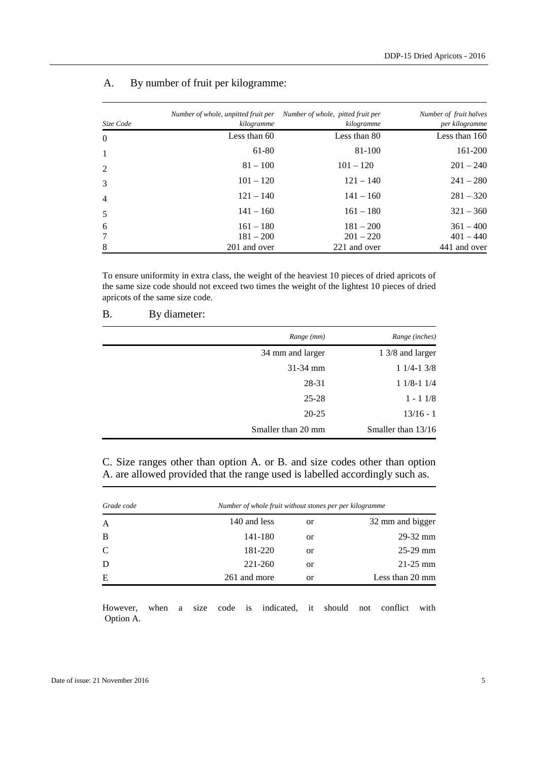| Size Code      | Number of whole, unpitted fruit per<br>kilogramme | Number of whole, pitted fruit per<br>kilogramme | Number of fruit halves<br>per kilogramme |
|----------------|---------------------------------------------------|-------------------------------------------------|------------------------------------------|
| $\overline{0}$ | Less than 60                                      | Less than 80                                    | Less than 160                            |
|                | 61-80                                             | 81-100                                          | 161-200                                  |
| 2              | $81 - 100$                                        | $101 - 120$                                     | $201 - 240$                              |
| 3              | $101 - 120$                                       | $121 - 140$                                     | $241 - 280$                              |
| 4              | $121 - 140$                                       | $141 - 160$                                     | $281 - 320$                              |
| 5              | $141 - 160$                                       | $161 - 180$                                     | $321 - 360$                              |
| 6              | $161 - 180$                                       | $181 - 200$                                     | $361 - 400$                              |
|                | $181 - 200$                                       | $201 - 220$                                     | $401 - 440$                              |
| 8              | 201 and over                                      | 221 and over                                    | 441 and over                             |

# A. By number of fruit per kilogramme:

To ensure uniformity in extra class, the weight of the heaviest 10 pieces of dried apricots of the same size code should not exceed two times the weight of the lightest 10 pieces of dried apricots of the same size code.

| <b>B.</b><br>By diameter: |  |
|---------------------------|--|
|---------------------------|--|

| Range (mm)         | Range (inches)     |
|--------------------|--------------------|
| 34 mm and larger   | 1 3/8 and larger   |
| $31 - 34$ mm       | $11/4-13/8$        |
| 28-31              | $11/8-11/4$        |
| $25 - 28$          | $1 - 11/8$         |
| $20 - 25$          | $13/16 - 1$        |
| Smaller than 20 mm | Smaller than 13/16 |

| C. Size ranges other than option A. or B. and size codes other than option   |  |  |  |  |
|------------------------------------------------------------------------------|--|--|--|--|
| A. are allowed provided that the range used is labelled accordingly such as. |  |  |  |  |

| Grade code | Number of whole fruit without stones per per kilogramme |               |                  |  |
|------------|---------------------------------------------------------|---------------|------------------|--|
| A          | 140 and less                                            | <sub>or</sub> | 32 mm and bigger |  |
| B          | 141-180                                                 | or            | $29 - 32$ mm     |  |
| C          | 181-220                                                 | or            | $25-29$ mm       |  |
| D          | 221-260                                                 | or            | $21 - 25$ mm     |  |
| E          | 261 and more                                            | <b>or</b>     | Less than 20 mm  |  |

However, when a size code is indicated, it should not conflict with Option A.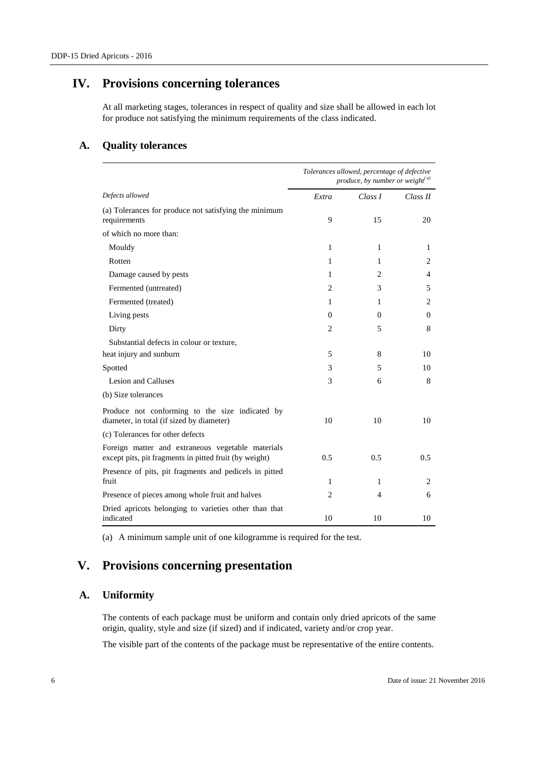# **IV. Provisions concerning tolerances**

At all marketing stages, tolerances in respect of quality and size shall be allowed in each lot for produce not satisfying the minimum requirements of the class indicated.

# **A. Quality tolerances**

|                                                                                                             | Tolerances allowed, percentage of defective<br>produce, by number or weight <sup>(a)</sup> |          |          |
|-------------------------------------------------------------------------------------------------------------|--------------------------------------------------------------------------------------------|----------|----------|
| Defects allowed                                                                                             | Extra                                                                                      | Class I  | Class II |
| (a) Tolerances for produce not satisfying the minimum<br>requirements                                       | 9                                                                                          | 15       | 20       |
| of which no more than:                                                                                      |                                                                                            |          |          |
| Mouldy                                                                                                      | 1                                                                                          | 1        | 1        |
| Rotten                                                                                                      | 1                                                                                          | 1        | 2        |
| Damage caused by pests                                                                                      | 1                                                                                          | 2        | 4        |
| Fermented (untreated)                                                                                       | 2                                                                                          | 3        | 5        |
| Fermented (treated)                                                                                         | 1                                                                                          | 1        | 2        |
| Living pests                                                                                                | $\Omega$                                                                                   | $\theta$ | 0        |
| Dirty                                                                                                       | 2                                                                                          | 5        | 8        |
| Substantial defects in colour or texture,                                                                   |                                                                                            |          |          |
| heat injury and sunburn                                                                                     | 5                                                                                          | 8        | 10       |
| Spotted                                                                                                     | 3                                                                                          | 5        | 10       |
| <b>Lesion and Calluses</b>                                                                                  | 3                                                                                          | 6        | 8        |
| (b) Size tolerances                                                                                         |                                                                                            |          |          |
| Produce not conforming to the size indicated by<br>diameter, in total (if sized by diameter)                | 10                                                                                         | 10       | 10       |
| (c) Tolerances for other defects                                                                            |                                                                                            |          |          |
| Foreign matter and extraneous vegetable materials<br>except pits, pit fragments in pitted fruit (by weight) | 0.5                                                                                        | 0.5      | 0.5      |
| Presence of pits, pit fragments and pedicels in pitted<br>fruit                                             | 1                                                                                          | 1        | 2        |
| Presence of pieces among whole fruit and halves                                                             | $\overline{c}$                                                                             | 4        | 6        |
| Dried apricots belonging to varieties other than that<br>indicated                                          | 10                                                                                         | 10       | 10       |

(a) A minimum sample unit of one kilogramme is required for the test.

# **V. Provisions concerning presentation**

## **A. Uniformity**

The contents of each package must be uniform and contain only dried apricots of the same origin, quality, style and size (if sized) and if indicated, variety and/or crop year.

The visible part of the contents of the package must be representative of the entire contents.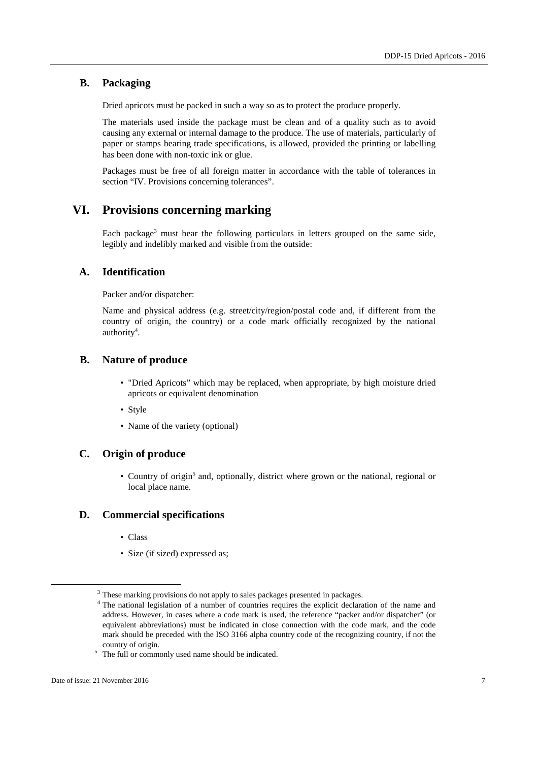### **B. Packaging**

Dried apricots must be packed in such a way so as to protect the produce properly.

The materials used inside the package must be clean and of a quality such as to avoid causing any external or internal damage to the produce. The use of materials, particularly of paper or stamps bearing trade specifications, is allowed, provided the printing or labelling has been done with non-toxic ink or glue.

Packages must be free of all foreign matter in accordance with the table of tolerances in section "IV. Provisions concerning tolerances".

# **VI. Provisions concerning marking**

Each package<sup>3</sup> must bear the following particulars in letters grouped on the same side, legibly and indelibly marked and visible from the outside:

### **A. Identification**

Packer and/or dispatcher:

Name and physical address (e.g. street/city/region/postal code and, if different from the country of origin, the country) or a code mark officially recognized by the national authority<sup>4</sup>.

### **B. Nature of produce**

- "Dried Apricots" which may be replaced, when appropriate, by high moisture dried apricots or equivalent denomination
- Style
- Name of the variety (optional)

### **C. Origin of produce**

• Country of origin<sup>5</sup> and, optionally, district where grown or the national, regional or local place name.

### **D. Commercial specifications**

- Class
- Size (if sized) expressed as:

 $\overline{a}$ 

<sup>&</sup>lt;sup>3</sup> These marking provisions do not apply to sales packages presented in packages.

<sup>&</sup>lt;sup>4</sup> The national legislation of a number of countries requires the explicit declaration of the name and address. However, in cases where a code mark is used, the reference "packer and/or dispatcher" (or equivalent abbreviations) must be indicated in close connection with the code mark, and the code mark should be preceded with the ISO 3166 alpha country code of the recognizing country, if not the country of origin.

<sup>5</sup> The full or commonly used name should be indicated.